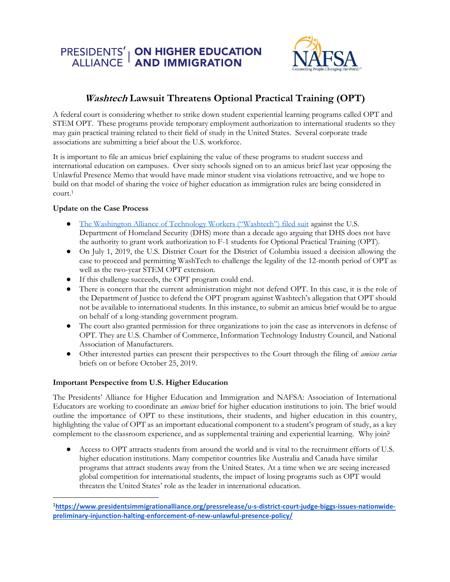# PRESIDENTS' | **ON HIGHER EDUCATION**<br>ALLIANCE | **AND IMMIGRATION**



### **Washtech Lawsuit Threatens Optional Practical Training (OPT)**

A federal court is considering whether to strike down student experiential learning programs called OPT and STEM OPT. These programs provide temporary employment authorization to international students so they may gain practical training related to their field of study in the United States. Several corporate trade associations are submitting a brief about the U.S. workforce.

It is important to file an amicus brief explaining the value of these programs to student success and international education on campuses. Over sixty schools signed on to an amicus brief last year opposing the Unlawful Presence Memo that would have made minor student visa violations retroactive, and we hope to build on that model of sharing the voice of higher education as immigration rules are being considered in court.<sup>1</sup>

#### **Update on the Case Process**

- [The Washington Alliance of Technology Workers \("Washtech"\) filed suit](https://www.nafsa.org/professional-resources/browse-by-interest/stem-opt-washtech-litigation) against the U.S. Department of Homeland Security (DHS) more than a decade ago arguing that DHS does not have the authority to grant work authorization to F-1 students for Optional Practical Training (OPT).
- On July 1, 2019, the U.S. District Court for the District of Columbia issued a decision allowing the case to proceed and permitting WashTech to challenge the legality of the 12-month period of OPT as well as the two-year STEM OPT extension.
- If this challenge succeeds, the OPT program could end.
- There is concern that the current administration might not defend OPT. In this case, it is the role of the Department of Justice to defend the OPT program against Washtech's allegation that OPT should not be available to international students. In this instance, to submit an amicus brief would be to argue on behalf of a long-standing government program.
- The court also granted permission for three organizations to join the case as intervenors in defense of OPT. They are U.S. Chamber of Commerce, Information Technology Industry Council, and National Association of Manufacturers.
- Other interested parties can present their perspectives to the Court through the filing of *amicus curiae* briefs on or before October 25, 2019.

#### **Important Perspective from U.S. Higher Education**

The Presidents' Alliance for Higher Education and Immigration and NAFSA: Association of International Educators are working to coordinate an *amicus* brief for higher education institutions to join. The brief would outline the importance of OPT to these institutions, their students, and higher education in this country, highlighting the value of OPT as an important educational component to a student's program of study, as a key complement to the classroom experience, and as supplemental training and experiential learning. Why join?

Access to OPT attracts students from around the world and is vital to the recruitment efforts of U.S. higher education institutions. Many competitor countries like Australia and Canada have similar programs that attract students away from the United States. At a time when we are seeing increased global competition for international students, the impact of losing programs such as OPT would threaten the United States' role as the leader in international education.

<sup>1</sup>**[https://www.presidentsimmigrationalliance.org/pressrelease/u-s-district-court-judge-biggs-issues-nationwide](https://www.presidentsimmigrationalliance.org/pressrelease/u-s-district-court-judge-biggs-issues-nationwide-preliminary-injunction-halting-enforcement-of-new-unlawful-presence-policy/)[preliminary-injunction-halting-enforcement-of-new-unlawful-presence-policy/](https://www.presidentsimmigrationalliance.org/pressrelease/u-s-district-court-judge-biggs-issues-nationwide-preliminary-injunction-halting-enforcement-of-new-unlawful-presence-policy/)**